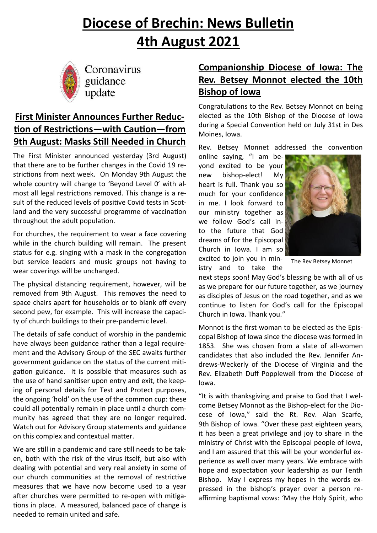# **Diocese of Brechin: News Bulletin 4th August 2021**



Coronavirus guidance update

## **First Minister Announces Further Reduction of Restrictions—with Caution—from 9th August: Masks Still Needed in Church**

The First Minister announced yesterday (3rd August) that there are to be further changes in the Covid 19 restrictions from next week. On Monday 9th August the whole country will change to 'Beyond Level 0' with almost all legal restrictions removed. This change is a result of the reduced levels of positive Covid tests in Scotland and the very successful programme of vaccination throughout the adult population.

For churches, the requirement to wear a face covering while in the church building will remain. The present status for e.g. singing with a mask in the congregation but service leaders and music groups not having to wear coverings will be unchanged.

The physical distancing requirement, however, will be removed from 9th August. This removes the need to space chairs apart for households or to blank off every second pew, for example. This will increase the capacity of church buildings to their pre-pandemic level.

The details of safe conduct of worship in the pandemic have always been guidance rather than a legal requirement and the Advisory Group of the SEC awaits further government guidance on the status of the current mitigation guidance. It is possible that measures such as the use of hand sanitiser upon entry and exit, the keeping of personal details for Test and Protect purposes, the ongoing 'hold' on the use of the common cup: these could all potentially remain in place until a church community has agreed that they are no longer required. Watch out for Advisory Group statements and guidance on this complex and contextual matter.

We are still in a pandemic and care still needs to be taken, both with the risk of the virus itself, but also with dealing with potential and very real anxiety in some of our church communities at the removal of restrictive measures that we have now become used to a year after churches were permitted to re-open with mitigations in place. A measured, balanced pace of change is needed to remain united and safe.

## **Companionship Diocese of Iowa: The Rev. Betsey Monnot elected the 10th Bishop of Iowa**

Congratulations to the Rev. Betsey Monnot on being elected as the 10th Bishop of the Diocese of Iowa during a Special Convention held on July 31st in Des Moines, Iowa.

Rev. Betsey Monnet addressed the convention

online saying, "I am beyond excited to be your new bishop-elect! My heart is full. Thank you so much for your confidence in me. I look forward to our ministry together as we follow God's call into the future that God dreams of for the Episcopal Church in Iowa. I am so excited to join you in min-

Church in Iowa. Thank you."



The Rev Betsey Monnet

istry and to take the next steps soon! May God's blessing be with all of us as we prepare for our future together, as we journey as disciples of Jesus on the road together, and as we continue to listen for God's call for the Episcopal

Monnot is the first woman to be elected as the Episcopal Bishop of Iowa since the diocese was formed in 1853. She was chosen from a slate of all-women candidates that also included the Rev. Jennifer Andrews-Weckerly of the Diocese of Virginia and the Rev. Elizabeth Duff Popplewell from the Diocese of Iowa.

"It is with thanksgiving and praise to God that I welcome Betsey Monnot as the Bishop-elect for the Diocese of Iowa," said the Rt. Rev. Alan Scarfe, 9th Bishop of Iowa. "Over these past eighteen years, it has been a great privilege and joy to share in the ministry of Christ with the Episcopal people of Iowa, and I am assured that this will be your wonderful experience as well over many years. We embrace with hope and expectation your leadership as our Tenth Bishop. May I express my hopes in the words expressed in the bishop's prayer over a person reaffirming baptismal vows: 'May the Holy Spirit, who